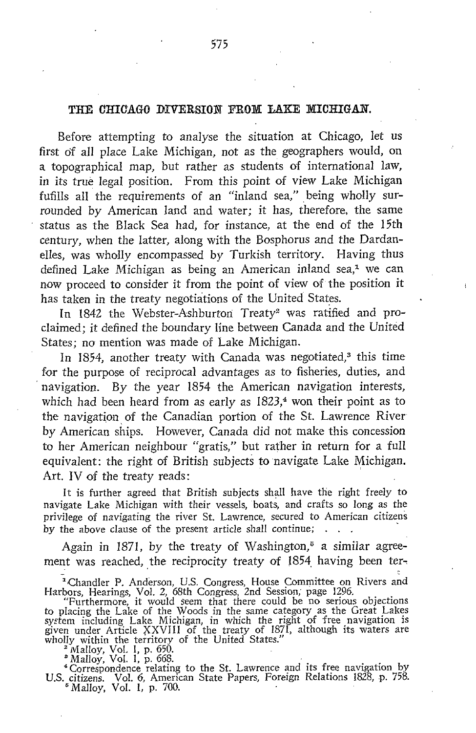## THE CHICAGO DIVERSION FROM LAKE MICHIGAN.

Before attempting to analyse the situation at Chicago, let us first of all place Lake Michigan, not as the geographers would, on a topographical map, but rather as students of international law, in its true legal position. From this point of view Lake Michigan fufills all the requirements of an "inland sea," being wholly surrounded by American land and water; it has, therefore, the same status as the Black Sea had, for instance, at the end of the 15th century, when the latter, along with the Bosphorus and the Dardanelles, was wholly encompassed by Turkish territory. Having thus defined Lake Michigan as being an American inland sea,<sup>1</sup> we can now proceed to consider it from the point of view of the position it has taken in the treaty negotiations of the United States.

In 1842 the Webster-Ashburton Treaty<sup>2</sup> was ratified and proclaimed; it defined the boundary line between Canada and the United States: no mention was made of Lake Michigan.

In 1854, another treaty with Canada was negotiated,<sup>3</sup> this time for the purpose of reciprocal advantages as to fisheries, duties, and navigation. By the year 1854 the American navigation interests, which had been heard from as early as  $1823$ ,<sup>4</sup> won their point as to the navigation of the Canadian portion of the St. Lawrence River by American ships. However, Canada did not make this concession to her American neighbour "gratis," but rather in return for a full equivalent: the right of British subjects to navigate Lake Michigan. Art. IV of the treaty reads:

It is further agreed that British subjects shall have the right freely to navigate Lake Michigan with their vessels, boats, and crafts so long as the privilege of navigating the river St. Lawrence, secured to American citizens by the above clause of the present article shall continue;

Again in 1871, by the treaty of Washington, $\overline{5}$  a similar agreement was reached, the reciprocity treaty of 1854 having been ter-

<sup>a</sup> Chandler P. Anderson, U.S . Congress, House Committee on Rivers and Harbors, Hearings, Vol . 2, 68th Congress, 2nd Session ; page 1296.

"Furthermore, it would seem that there could be no serious objections<br>to placing the Lake of the Woods in the same category as the Great Lakes<br>system including Lake Michigan, in which the right of free navigation is<br>given

wholly within the territory of the United States.<br>
<sup>2</sup> Malloy, Vol. 1, p. 650.<br> **<sup>6</sup> Malloy, Vol. 1, p. 668.**<br> **4** Correspondence relating to the St. Lawrence and its free navigation by<br> **U.S. citizens.** Vol. 6, American S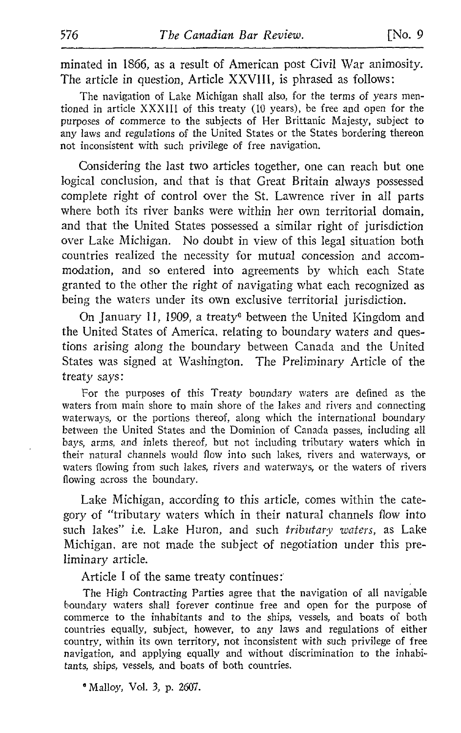minated in 1866, as a result of American post Civil War animosity . The article in question, Article XXVIII, is phrased as follows :

The navigation of Lake Michigan shall also, for the terms of years mentioned in article XXXIII of this treaty (10 years), be free and open for the purposes of commerce to the subjects of Her Brittanic Majesty, subject to any laws and regulations of the United States or the States bordering thereon not inconsistent with such privilege of free navigation.

Considering the last two articles together, one can reach but one logical conclusion, and that is that Great Britain always possessed complete right of control over the St. Lawrence river in all parts where both its river banks were within her own territorial domain, and that the United States possessed a similar right of jurisdiction over Lake Michigan. No doubt in view of this legal situation both countries realized the necessity for mutual concession and accommodation, and so entered into agreements by which each State granted to the other the right of navigating what each recognized as being the waters under its own exclusive territorial jurisdiction.

On January 11, 1909, a treatye between the United Kingdom and the United States of America, relating to boundary waters and questions arising along the boundary between Canada and the United States was signed at Washington. The Preliminary Article of the treaty says :

For the purposes of this Treaty boundary waters are defined as the waters from main shore to main shore of the lakes and rivers and connecting waterways, or the portions thereof, along which the international boundary between the United States and the Dominion of Canada passes, including all bays, arms, and inlets thereof, but not including tributary waters which in their natural channels would flow into such lakes, rivers and waterways, or waters flowing from such lakes, rivers and waterways, or the waters of rivers flowing across the boundary.

Lake Michigan, according to this article, comes within the category of "tributary waters which in their natural channels flow into such lakes" i.e. Lake Huron, and such tributary waters, as Lake Michigan, are not made the subject of negotiation under this preliminary article.

Article <sup>I</sup> of the same treaty continues :

The High Contracting Parties agree that the navigation of all navigable boundary waters shall forever continue free and open for the purpose of commerce to the inhabitants and to the ships, vessels, and boats of both countries equally, subject, however, to any laws and regulations of either country, within its own territory, not inconsistent with such privilege of free navigation, and applying equally and without discrimination to the inhabitants, ships, vessels, and boats of both countries.

Malloy, Vol. 3, p. 2607.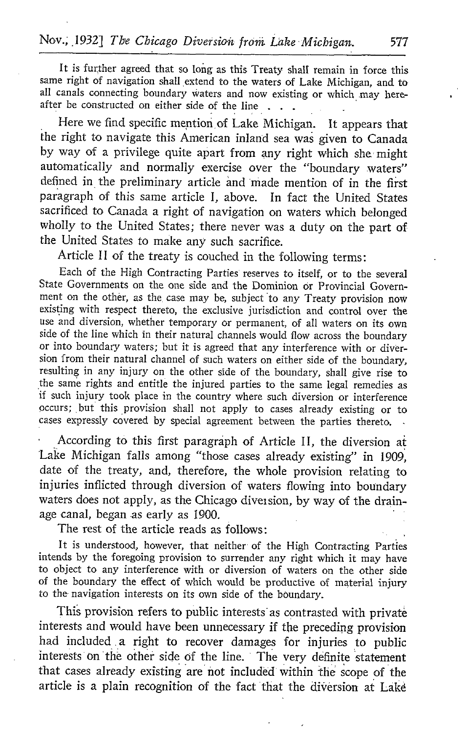It is further agreed that so long as this Treaty shall remain in force this same right of navigation shall extend to the waters of Lake Michigan, and to all canals connecting boundary waters and now existing or which may hereafter be constructed on either side of the line.

Here we find specific mention of Lake Michigan. It appears that the right to navigate this American inland sea was given to Canada by way of a privilege quite apart from any right which she might automatically and normally exercise over the "boundary waters" defined in the preliminary article and 'made mention of in the first paragraph of this same article I, above. In fact the United States sacrificed to Canada <sup>a</sup> right of navigation on waters which belonged wholly to the United States; there never was a duty on the part of the United States to make any such sacrifice.

Article <sup>11</sup> of the treaty is couched in the following terms

Each of the High Contracting Parties reserves to itself, or to the several State Governments on the one side and the Dominion or Provincial Government on the other, as the case may be, subject to any Treaty provision now existing with respect thereto, the exclusive jurisdiction and control over the use and diversion, whether temporary or permanent, of all waters on its own side of the line which in their natural channels would flow across the boundary or into boundary waters; but it is agreed that any interference with or diversion from their natural channel of such waters on either side of the boundary, resulting in any injury on the other side of the boundary, shall give rise to the same rights and entitle the injured parties to the same legal remedies as if such injury took place in the country where such diversion or interference occurs; but this provision shall not apply to cases already existing or to cases expressly covered by special agreement between the parties thereto.

According to this first paragraph of Article II, the diversion at Lake Michigan falls among "those cases already existing" in 1909, date of the treaty, and, therefore, the whole provision relating to injuries inflicted through diversion of waters flowing into boundary waters does not apply, as the Chicago dives sion, by way of the drainage canal, began as early as 1900.

The rest of the article reads as follows:

It is understood, however, that neither of the High Contracting Parties intends by the foregoing provision to surrender any right which it may have to object to any interference with or diversion of waters on the other side of the boundary the effect of which would be productive of material injury to the navigation interests on its own side of the boundary.

This provision refers to public interests as contrasted with private interests and would have been unnecessary if the preceding provision had included a right to recover damages for injuries to public interests on the other side of the line. The very definite statement that cases already existing are not included within the scope of the article is a plain recognition of the fact that the diversion at Lake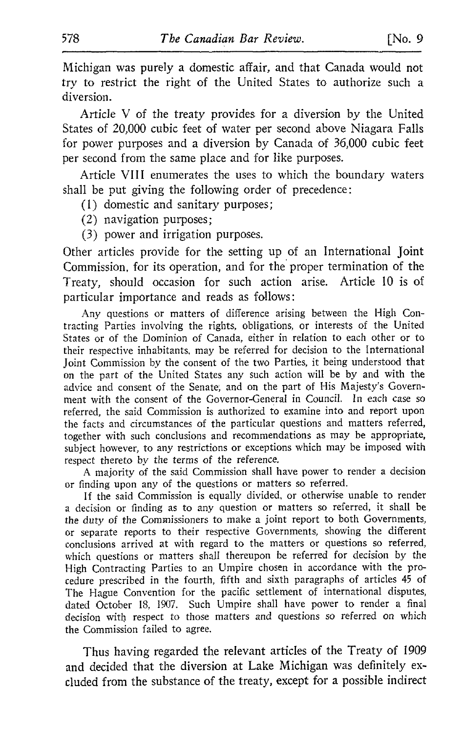Michigan was purely a domestic affair, and that Canada would not try to restrict the right of the United States to authorize such a diversion.

Article V of the treaty provides for <sup>a</sup> diversion by the United States of 20,000 cubic feet of water per second above Niagara Falls for power purposes and a diversion by Canada of 36,000 cubic feet per second from the same place and for like purposes.

Article VIII enumerates the uses to which the boundary waters shall be put giving the following order of precedence :

(1) domestic and sanitary purposes ;

(2) navigation purposes ;

(3) power and irrigation purposes.

Other articles provide for the setting up of an International joint Commission, for its operation, and for the proper termination of the Treaty, should occasion for such action arise. Article 10 is of particular importance and reads as follows :

Any questions or matters of difference arising between the High Contracting Parties involving the rights, obligations, or interests of the United States or of the Dominion of Canada, either in relation to each other or to their respective inhabitants, may be referred for decision to the International Joint Commission by the consent of the two Parties, it being understood that on the part of the United States any such action will be by and with the advice and consent of the Senate, and on the part of His Majesty's Government with the consent of the Governor-General in Council. In each case so referred, the said Commission is authorized to examine into and report upon the facts and circumstances of the particular questions and matters referred, together with such conclusions and recommendations as may be appropriate, subject however, to any restrictions or exceptions which may be imposed with respect thereto by the terms of the reference.

A majority of the said Commission shall have power to render <sup>a</sup> decision or finding upon any of the questions or matters so referred.

If the said Commission is equally divided, or otherwise unable to render a decision or finding as to any question or matters so referred, it shall be the duty of the Commissioners to make <sup>a</sup> joint report to both Governments, or separate reports to their respective Governments, showing the different conclusions arrived at with regard to the matters or questions so referred, which questions or matters shall thereupon be referred for decision by the High Contracting Parties to an Umpire chosen in accordance with the procedure prescribed in the fourth, fifth and sixth paragraphs of articles 45 of The Hague Convention for the pacific settlement of international disputes, dated October 18, 1907. Such Umpire shall have power to render a final decision with respect to those matters and questions so referred on which the Commission failed to agree.

Thus having regarded the relevant articles of the Treaty of 1909 and decided that the diversion at Lake Michigan was definitely excluded from the substance of the treaty, except for a possible indirect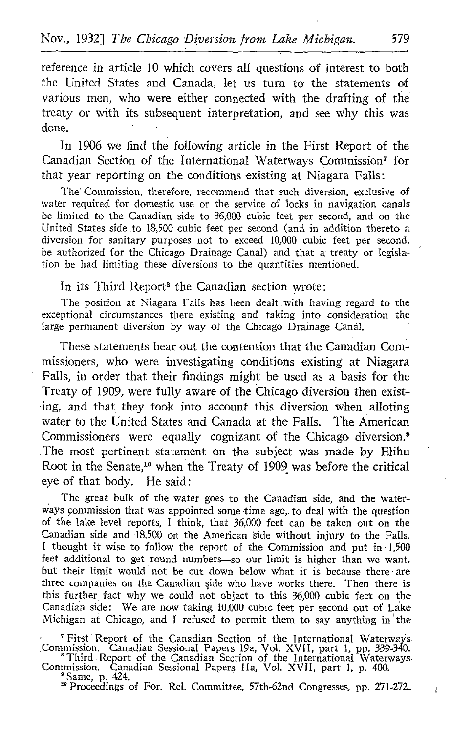reference in article 10 which covers all questions of interest to both the United States and Canada, let us turn to the statements of various men, who were either connected with the drafting of the treaty or with its subsequent interpretation, and see why this was done.

In 1906 we find the following article in the First Report of the Canadian Section of the International Waterways Commission? for that year reporting on the conditions existing at Niagara Falls :

The' Commission, therefore, recommend that such diversion, exclusive of water required for domestic use or the service of locks in navigation canals be limited to the Canadian side to 36,000 cubic feet per second, and on the United States side .to 18,500 cubic feet per second (and in addition thereto a diversion for sanitary purposes not to exceed 10,000 cubic feet per second, be authorized for the Chicago Drainage Canal) and that a treaty or legislation be had limiting these diversions to the quantities mentioned.

## In its Third Report<sup>8</sup> the Canadian section wrote:

The position at Niagara Falls has been dealt with having regard to the exceptional circumstances there existing and taking into consideration the large permanent diversion by way of the Chicago Drainage Canal.

These statements bear out the contention that the Canadian Commissioners, who were investigating conditions existing at Niagara Falls, in order that their findings might be used as a basis for the Treaty of 1909, were fully aware of the Chicago diversion then existing, and that they took into account this diversion when alloting water to the United States and Canada at the Falls. The American Commissioners were equally cognizant of the Chicago diversion.<sup>9</sup> The most pertinent statement on the subject was made by Elihu Root in the Senate,<sup>10</sup> when the Treaty of 1909 was before the critical eye of that body. He said:

The great bulk of the water goes to the Canadian side, and the waterways commission that was appointed some time ago, to deal with the question of the lake level reports, <sup>I</sup> think, that 36,000 feet can be taken out on the Canadian side and 18,500 on the American side without injury to the Falls. <sup>I</sup> thought it wise to follow the report of the Commission and put in -1,500 feet additional to get round numbers-so our limit is higher than we want, but their limit would not be cut down below what it is because there are three companies on the Canadian side who have works there. Then there is this further fact why we could not object to this 36,000 cubic feet on the Canadian side: We are now taking 10,000 cubic feet per second out of Lake Michigan at Chicago, and I refused to permit them to say anything in the

' First' Report of the Canadian Section of the International Waterways Commission. Canadian Sessional Papers 19a, Vol. XVII, part 1, pp. 339-340.

<sup>\*</sup>Third .Report of the Canadian Section of the International Waterways.<br>Commission. Canadian Sessional Papers IIa, Vol. XVII, part 1, p. 400.<br><sup>\*</sup>Same, p. 424.

<sup>10</sup> Proceedings of For. Rel. Committee, 57th-62nd Congresses, pp. 271-272.

 $\mathbf{I}$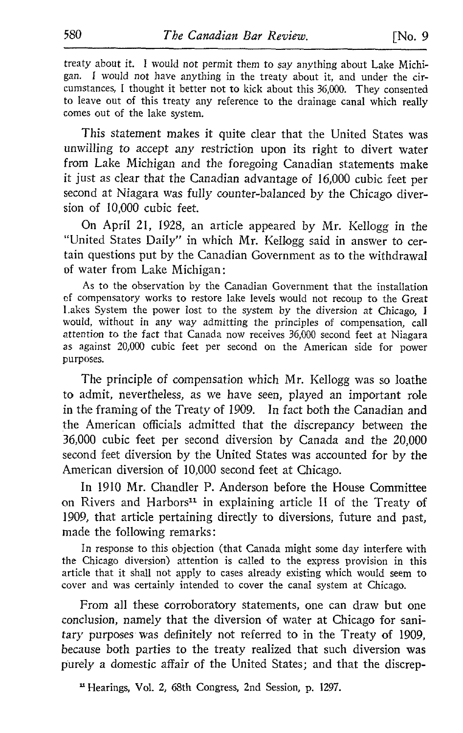treaty about it. I would not permit them to say anything about Lake Michigan. <sup>I</sup> would not have anything in the treaty about it, and under the circumstances, <sup>I</sup> thought it better not to kick about this 36,000. They consented to leave out of this treaty any reference to the drainage canal which really comes out of the lake system.

This statement makes it quite clear that the United States was unwilling to accept any restriction upon its right to divert water from Lake Michigan and the foregoing Canadian statements make it just as clear that the Canadian advantage of 16,000 cubic feet per second at Niagara was fully counter-balanced by the Chicago diversion of 10,000 cubic feet.

On April 21, 1928, an article appeared by Mr. Kellogg in the "United States Daily" in which Mr. Kellogg said in answer to certain questions put by the Canadian Government as to the withdrawal of water from Lake Michigan :

As to the observation by the Canadian Government that the installation of compensatory works to restore lake levels would not recoup to the Great Lakes System the power lost to the system by the diversion at Chicago, <sup>I</sup> would, without in any way admitting the principles of compensation, call attention to the fact that Canada now receives 36,000 second feet at Niagara as against 20,000 cubic feet per second on the American side for power purposes.

The principle of compensation which Mr. Kellogg was so loathe to admit, nevertheless, as we have seen, played an important role in the framing of the Treaty of 1909. In fact both the Canadian and the American officials admitted that the discrepancy between the 36,000 cubic feet per second diversion by Canada and the 20,000 second feet diversion by the United States was accounted for by the American diversion of 10,000 second feet at Chicago.

In <sup>1910</sup> Mr. Chandler P. Anderson before the House Committee on Rivers and Harbors<sup>11</sup> in explaining article II of the Treaty of 1909, that article pertaining directly to diversions, future and past, made the following remarks :

In response to this objection (that Canada might some day interfere with the Chicago diversion) attention is called to the express provision in this article that it shall not apply to cases already existing which would seem to cover and was certainly intended to cover the canal system at Chicago.

From all these corroboratory statements, one can draw but one conclusion, namely that the diversion of water at Chicago for sanitary purposes was definitely not referred to in the Treaty of 1909, because both parties to the treaty realized that such diversion was purely a domestic affair of the United States; and that the discrep-

<sup>11</sup> Hearings, Vol. 2, 68th Congress, 2nd Session, p. 1297.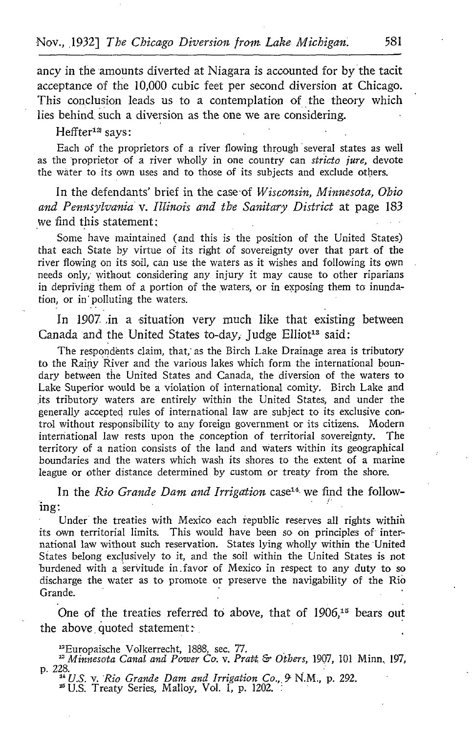ancy in the amounts diverted at Niagara is accounted for by the tacit acceptance of the 10,000 cubic feet per second diversion at Chicago. This conclusion leads us to a contemplation of the theory which lies behind such a diversion as the one we are considering.

Heffter<sup>12</sup> says:

Each of the proprietors of a river flowing through several states as well as the proprietor of a river wholly in one country can stricto jure, devote the water to its own uses and to those of its subjects and exclude others.

In the defendants' brief in the case of Wisconsin, Minnesota, Ohio and Pennsylvania v. Illinois and the Sanitary District at page 183 we find this statement:

Some have maintained (and this is the position of the United States) that each State by virtue of its right of sovereignty over that part of the river flowing on its soil, can use the waters as it wishes and following its own needs only; without considering any injury it may cause to other riparians in depriving them of a portion of the waters, or in exposing them to inundation, or in' polluting the waters.

In 1907 in a situation very much like that existing between Canada and the United States to-day, Judge Elliot<sup>13</sup> said:

The respondents claim, that,' as the Birch Lake Drainage area is tributory to the Rainy River and the various lakes which form the international boundary between the United States and Canada, the diversion of the waters to Lake Superior would be a violation of international comity . Birch Lake and its tributory waters are entirely within the United States, and under the generally accepted rules of international law are subject to its exclusive control without responsibility to any foreign government or its citizens. Modern international law rests upon the conception of territorial sovereignty. The territory of a nation consists of the land and waters within its geographical boundaries and the waters which wash its shores to the extent of a marine league or other distance determined by custom or treaty from the shore.

In the Rio Grande Dam and Irrigation case<sup>14</sup> we find the following :

Under the treaties with Mexico each republic reserves all rights within its own territorial limits. This would have been so on principles of international law without such reservation. States lying wholly within the 'United States belong exclusively to it, and the soil within the United States is not burdened with a servitude in .favor of Mexico in respect to any duty to so discharge the water as to promote or preserve the navigability of the Rio Grande. **Community** and the community of the community of the community of the community of the community of the community of the community of the community of the community of the community of the community of the communi

One of the treaties referred to above, that of  $1906$ ,<sup>15</sup> bears out the above quoted statement:

"Europaische Volkerrecht, 1888, sec. 77. " Minnesota Canal and Power Co. v. Pratt & Others, 1907, <sup>101</sup> Minn, 197,

p. 228.<br><sup>14</sup> U.S. v. Rio Grande Dam and Irrigation Co., 9 N.M., p. 292. <sup>26</sup> U.S. Treaty Series, Malloy, Vol. 1, p. 1202.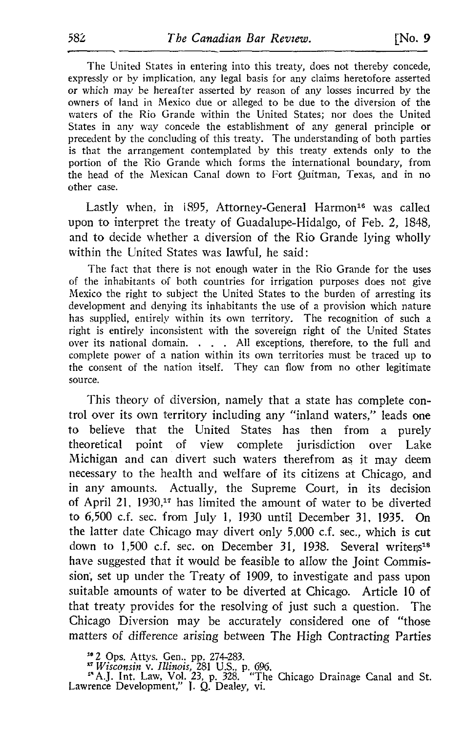The United States in entering into this treaty, does not thereby concede, expressly or by implication, any legal basis for any claims heretofore asserted or which may be hereafter asserted by reason of any losses incurred by the owners of land in Mexico due or alleged to be due to the diversion of the waters of the Rio Grande within the United States: nor does the United States in any way concede the establishment of any general principle or precedent by the concluding of this treaty . The understanding of both parties is that the arrangement contemplated by this treaty extends only to the portion of the Rio Grande which forms the international boundary, from the head of the Mexican Canal down to Fort Quitman, Texas, and in no other case .

Lastly when, in 1895, Attorney-General Harmon<sup>16</sup> was called upon to interpret the treaty of Guadalupe-Hidalgo, of Feb. 2, 1848, and to decide whether a diversion of the Rio Grande lying wholly within the United States was lawful, he said :

The fact that there is not enough water in the Rio Grande for the uses of the inhabitants of both countries for irrigation purposes does not give Mexico the right to subject the United States to the burden of arresting its development and denying its inhabitants the use of a provision which nature has supplied, entirely within its own territory. The recognition of such a right is entirely inconsistent with the sovereign right of the United States over its national domain. . . . All exceptions, therefore, to the full and complete power of a nation within its own territories must be traced up to the consent of the nation itself. They can flow from no other legitimate source.

This theory of diversion, namely that a state has complete control over its own territory including any "inland waters," leads one<br>to believe that the United States has then from a purely to believe that the United States has then from a purely<br>theoretical point of view complete jurisdiction over Lake point of view complete Michigan and can divert such waters therefrom as it may deem necessary to the health and welfare of its citizens at Chicago, and in any amounts. Actually, the Supreme Court, in its decision of April 21, 1930,<sup>17</sup> has limited the amount of water to be diverted to 6,500 <sup>c</sup> .f. sec. from July 1, 1930 until December 31, <sup>1935</sup> . On the latter date Chicago may divert only 5,000 c.f. sec., which is cut down to 1,500 c.f. sec. on December 31, 1938. Several writers<sup>18</sup> have suggested that it would be feasible to allow the Joint Commission, set up under the Treaty of 1909, to investigate and pass upon suitable amounts of water to be diverted at Chicago. Article 10 of that treaty provides for the resolving of just such a question. The Chicago Diversion may be accurately considered one of "those matters of difference arising between The High Contracting Parties

 $^{14}$  2 Ops. Attys. Gen., pp. 274-283.

<sup>17</sup> Wisconsin v. Illinois, 281 U.S., p. 696.<br><sup>18</sup> A.J. Int. Law, Vol. 23, p. 328. "The Chicago Drainage Canal and St.<br>Lawrence Development," I. Q. Dealey, vi.